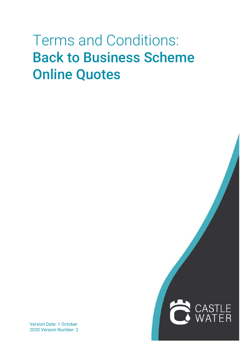# Terms and Conditions: Back to Business Scheme Online Quotes

Version Date: 1 October 2020 Version Number: 2

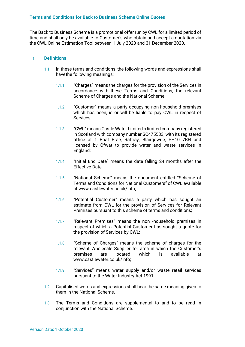## **Terms and Conditions for Back to Business Scheme Online Quotes**

The Back to Business Scheme is a promotional offer run by CWL for a limited period of time and shall only be available to Customer's who obtain and accept a quotation via the CWL Online Estimation Tool between 1 July 2020 and 31 December 2020.

#### **1 Definitions**

- 1.1 In these terms and conditions, the following words and expressions shall havethe following meanings:
	- 1.1.1 "Charges" means the charges for the provision of the Services in accordance with these Terms and Conditions, the relevant Scheme of Charges and the National Scheme:
	- 1.1.2 "Customer" means a party occupying non-household premises which has been, is or will be liable to pay CWL in respect of Services;
	- 1.1.3 "CWL" means Castle Water Limited a limited company registered in Scotland with company number SC475583, with its registered office at 1 Boat Brae, Rattray, Blairgowrie, PH10 7BH and licensed by Ofwat to provide water and waste services in England;
	- 1.1.4 "Initial End Date" means the date falling 24 months after the Effective Date;
	- 1.1.5 "National Scheme" means the document entitled "Scheme of Terms and Conditions for National Customers" of CWL available at [www.castlewater.co.uk/info;](http://www.castlewater.co.uk/info%3B)
	- 1.1.6 "Potential Customer" means a party which has sought an estimate from CWL for the provision of Services for Relevant Premises pursuant to this scheme of terms and conditions;
	- 1.1.7 "Relevant Premises" means the non -household premises in respect of which a Potential Customer has sought a quote for the provision of Services by CWL;
	- 1.1.8 "Scheme of Charges" means the scheme of charges for the relevant Wholesale Supplier for area in which the Customer's premises are located which is available a[t](http://www.castlewater.co.uk/info%3B) [www.castlewater.co.uk/info;](http://www.castlewater.co.uk/info%3B)
	- 1.1.9 "Services" means water supply and/or waste retail services pursuant to the Water Industry Act 1991.
- 1.2 Capitalised words and expressions shall bear the same meaning given to them in the National Scheme.
- 1.3 The Terms and Conditions are supplemental to and to be read in conjunction with the National Scheme.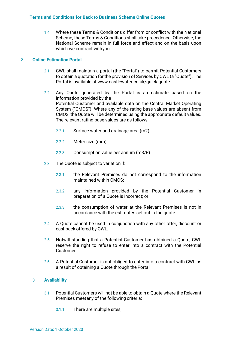1.4 Where these Terms & Conditions differ from or conflict with the National Scheme, these Terms & Conditions shall take precedence. Otherwise, the National Scheme remain in full force and effect and on the basis upon which we contract withyou.

## **2 Online Estimation Portal**

- 2.1 CWL shall maintain a portal (the "Portal") to permit Potential Customers to obtain a quotation for the provision of Services by CWL (a "Quote"). The Portal is available at [www.castlewater.co.uk/quick-quote.](http://www.castlewater.co.uk/quick-quote)
- 2.2 Any Quote generated by the Portal is an estimate based on the information provided by the Potential Customer and available data on the Central Market Operating System ("CMOS"). Where any of the rating base values are absent from CMOS, the Quote will be determined using the appropriate default values. The relevant rating base values are as follows:
	- 2.2.1 Surface water and drainage area (m2)
	- 2.2.2 Meter size (mm)
	- 2.2.3 Consumption value per annum (m3/£)
- 2.3 The Quote is subject to variation if:
	- 2.3.1 the Relevant Premises do not correspond to the information maintained within CMOS;
	- 2.3.2 any information provided by the Potential Customer in preparation of a Quote is incorrect; or
	- 2.3.3 the consumption of water at the Relevant Premises is not in accordance with the estimates set out in the quote.
- 2.4 A Quote cannot be used in conjunction with any other offer, discount or cashback offered by CWL.
- 2.5 Notwithstanding that a Potential Customer has obtained a Quote, CWL reserve the right to refuse to enter into a contract with the Potential Customer.
- 2.6 A Potential Customer is not obliged to enter into a contract with CWL as a result of obtaining a Quote through the Portal.

## **3 Availability**

- 3.1 Potential Customers will not be able to obtain a Quote where the Relevant Premises meetany of the following criteria:
	- 3.1.1 There are multiple sites;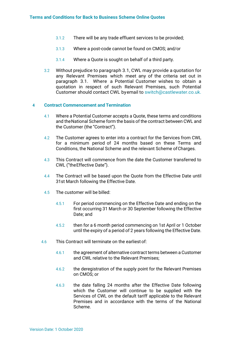- 3.1.2 There will be any trade effluent services to be provided;
- 3.1.3 Where a post-code cannot be found on CMOS; and/or
- 3.1.4 Where a Quote is sought on behalf of a third party.
- 3.2 Without prejudice to paragraph 3.1, CWL may provide a quotation for any Relevant Premises which meet any of the criteria set out in paragraph 3.1. Where a Potential Customer wishes to obtain a quotation in respect of such Relevant Premises, such Potential Customer should contact CWL byemail to [switch@castlewater.co.uk.](mailto:switch@castlewater.co.uk.)

## **4 Contract Commencement and Termination**

- 4.1 Where a Potential Customer accepts a Quote, these terms and conditions and theNational Scheme form the basis of the contract between CWL and the Customer (the "Contract").
- 4.2 The Customer agrees to enter into a contract for the Services from CWL for a minimum period of 24 months based on these Terms and Conditions, the National Scheme and the relevant Scheme of Charges.
- 4.3 This Contract will commence from the date the Customer transferred to CWL ("theEffective Date").
- 4.4 The Contract will be based upon the Quote from the Effective Date until 31st March following the Effective Date.
- 4.5 The customer will be billed:
	- 4.5.1 For period commencing on the Effective Date and ending on the first occurring 31 March or 30 September following the Effective Date; and
	- 4.5.2 then for a 6 month period commencing on 1st April or 1 October until the expiry of a period of 2 years following the Effective Date.
- 4.6 This Contract will terminate on the earliestof:
	- 4.6.1 the agreement of alternative contract terms between a Customer and CWL relative to the Relevant Premises;
	- 4.6.2 the deregistration of the supply point for the Relevant Premises on CMOS; or
	- 4.6.3 the date falling 24 months after the Effective Date following which the Customer will continue to be supplied with the Services of CWL on the default tariff applicable to the Relevant Premises and in accordance with the terms of the National Scheme.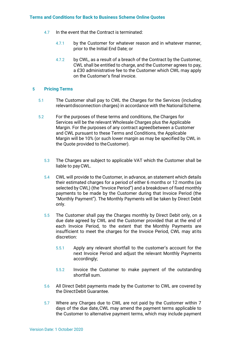- 4.7 In the event that the Contract is terminated:
	- 4.7.1 by the Customer for whatever reason and in whatever manner, prior to the Initial End Date; or
	- 4.7.2 by CWL, as a result of a breach of the Contract by the Customer, CWL shall be entitled to charge, and the Customer agrees to pay, a £30 administrative fee to the Customer which CWL may apply on the Customer's final invoice.

## **5 Pricing Terms**

- 5.1 The Customer shall pay to CWL the Charges for the Services (including relevantdisconnection charges) in accordance with the NationalScheme.
- 5.2 For the purposes of these terms and conditions, the Charges for Services will be the relevant Wholesale Charges plus the Applicable Margin. For the purposes of any contract agreedbetween a Customer and CWL pursuant to these Terms and Conditions, the Applicable Margin will be 10% (or such lower margin as may be specified by CWL in the Quote provided to theCustomer).
	- 5.3 The Charges are subject to applicable VAT which the Customer shall be liable to payCWL.
	- 5.4 CWL will provide to the Customer, in advance, an statement which details their estimated charges for a period of either 6 months or 12 months (as selected by CWL) (the "Invoice Period") and a breakdown of fixed monthly payments to be made by the Customer during that Invoice Period (the "Monthly Payment"). The Monthly Payments will be taken by Direct Debit only.
	- 5.5 The Customer shall pay the Charges monthly by Direct Debit only, on a due date agreed by CWL and the Customer provided that at the end of each Invoice Period, to the extent that the Monthly Payments are insufficient to meet the charges for the Invoice Period, CWL may atits discretion:
		- 5.5.1 Apply any relevant shortfall to the customer's account for the next Invoice Period and adjust the relevant Monthly Payments accordingly;
		- 5.5.2 Invoice the Customer to make payment of the outstanding shortfall sum.
	- 5.6 All Direct Debit payments made by the Customer to CWL are covered by the DirectDebit Guarantee.
	- 5.7 Where any Charges due to CWL are not paid by the Customer within 7 days of the due date,CWL may amend the payment terms applicable to the Customer to alternative payment terms, which may include payment